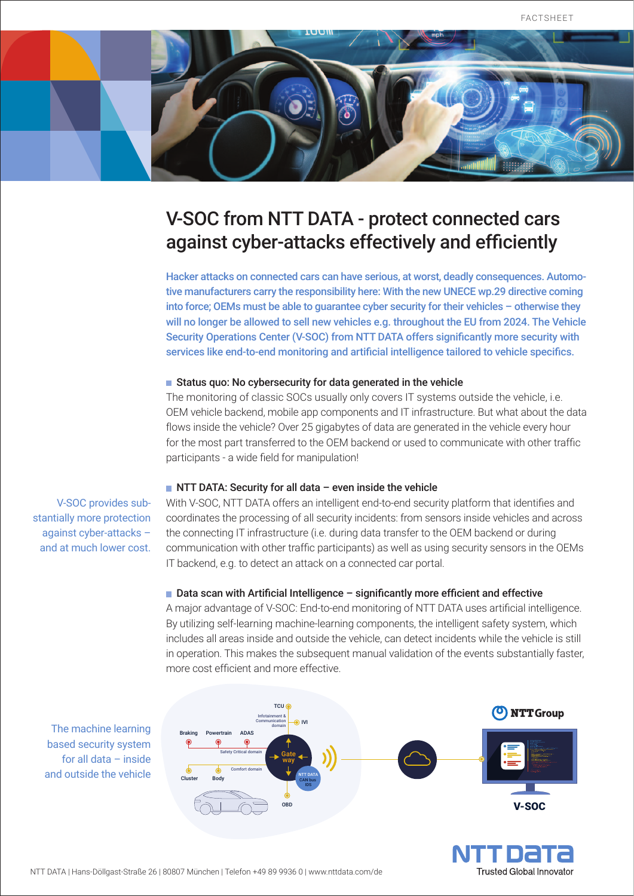

# V-SOC from NTT DATA - protect connected cars against cyber-attacks effectively and efficiently

Hacker attacks on connected cars can have serious, at worst, deadly consequences. Automotive manufacturers carry the responsibility here: With the new UNECE wp.29 directive coming into force; OEMs must be able to guarantee cyber security for their vehicles – otherwise they will no longer be allowed to sell new vehicles e.g. throughout the EU from 2024. The Vehicle Security Operations Center (V-SOC) from NTT DATA offers significantly more security with services like end-to-end monitoring and artificial intelligence tailored to vehicle specifics.

#### Status quo: No cybersecurity for data generated in the vehicle

The monitoring of classic SOCs usually only covers IT systems outside the vehicle, i.e. OEM vehicle backend, mobile app components and IT infrastructure. But what about the data flows inside the vehicle? Over 25 gigabytes of data are generated in the vehicle every hour for the most part transferred to the OEM backend or used to communicate with other traffic participants - a wide field for manipulation!

#### $\blacksquare$  NTT DATA: Security for all data – even inside the vehicle

V-SOC provides substantially more protection against cyber-attacks – and at much lower cost.

With V-SOC, NTT DATA offers an intelligent end-to-end security platform that identifies and coordinates the processing of all security incidents: from sensors inside vehicles and across the connecting IT infrastructure (i.e. during data transfer to the OEM backend or during communication with other traffic participants) as well as using security sensors in the OEMs IT backend, e.g. to detect an attack on a connected car portal.

### $\blacksquare$  Data scan with Artificial Intelligence – significantly more efficient and effective

A major advantage of V-SOC: End-to-end monitoring of NTT DATA uses artificial intelligence. By utilizing self-learning machine-learning components, the intelligent safety system, which includes all areas inside and outside the vehicle, can detect incidents while the vehicle is still in operation. This makes the subsequent manual validation of the events substantially faster, more cost efficient and more effective.



**Trusted Global Innovator** 

The machine learning based security system for all data – inside and outside the vehicle